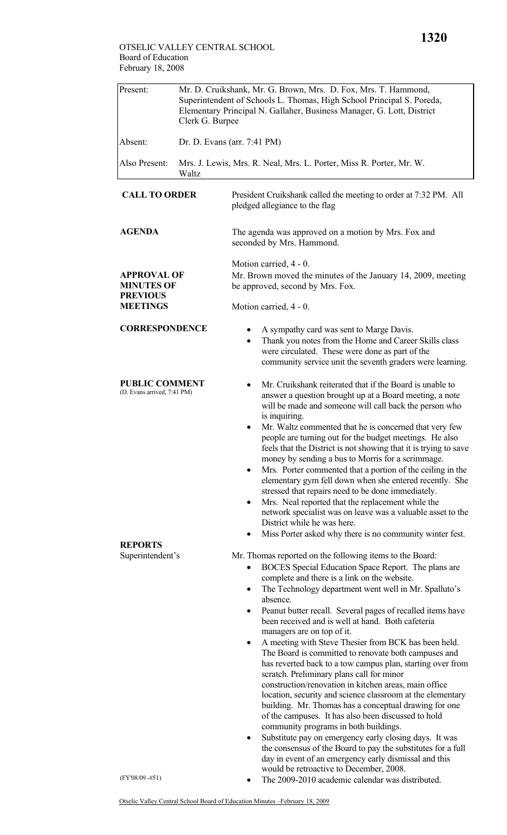**MINUTES OF PREVIOUS MEETINGS** 

**PUBLIC COMMENT**  (D. Evans arrived, 7:41 PM)

| Present:             | Mr. D. Cruikshank, Mr. G. Brown, Mrs. D. Fox, Mrs. T. Hammond,<br>Superintendent of Schools L. Thomas, High School Principal S. Poreda,<br>Elementary Principal N. Gallaher, Business Manager, G. Lott, District<br>Clerk G. Burpee |                                                                                                    |  |  |  |
|----------------------|-------------------------------------------------------------------------------------------------------------------------------------------------------------------------------------------------------------------------------------|----------------------------------------------------------------------------------------------------|--|--|--|
| Absent:              | Dr. D. Evans (arr. 7:41 PM)                                                                                                                                                                                                         |                                                                                                    |  |  |  |
| Also Present:        | Mrs. J. Lewis, Mrs. R. Neal, Mrs. L. Porter, Miss R. Porter, Mr. W.<br>Waltz                                                                                                                                                        |                                                                                                    |  |  |  |
| <b>CALL TO ORDER</b> |                                                                                                                                                                                                                                     | President Cruikshank called the meeting to order at 7:32 PM. All<br>pledged allegiance to the flag |  |  |  |
| <b>AGENDA</b>        |                                                                                                                                                                                                                                     | The agenda was approved on a motion by Mrs. Fox and<br>seconded by Mrs. Hammond.                   |  |  |  |
| <b>APPROVAL OF</b>   |                                                                                                                                                                                                                                     | Motion carried, 4 - 0.<br>Mr. Brown moved the minutes of the January 14, 2009, meeting             |  |  |  |

Mr. Brown moved the minutes of the January 14, 2009, meeting be approved, second by Mrs. Fox.

Motion carried, 4 - 0.

- **CORRESPONDENCE**  A sympathy card was sent to Marge Davis.
	- Thank you notes from the Home and Career Skills class were circulated. These were done as part of the community service unit the seventh graders were learning.
	- Mr. Cruikshank reiterated that if the Board is unable to answer a question brought up at a Board meeting, a note will be made and someone will call back the person who is inquiring.
	- Mr. Waltz commented that he is concerned that very few people are turning out for the budget meetings. He also feels that the District is not showing that it is trying to save money by sending a bus to Morris for a scrimmage.
	- Mrs. Porter commented that a portion of the ceiling in the elementary gym fell down when she entered recently. She stressed that repairs need to be done immediately.
	- Mrs. Neal reported that the replacement while the network specialist was on leave was a valuable asset to the District while he was here.
	- Miss Porter asked why there is no community winter fest.

Mr. Thomas reported on the following items to the Board:

- BOCES Special Education Space Report. The plans are complete and there is a link on the website.
- The Technology department went well in Mr. Spalluto's absence.
- Peanut butter recall. Several pages of recalled items have been received and is well at hand. Both cafeteria managers are on top of it.
- A meeting with Steve Thesier from BCK has been held. The Board is committed to renovate both campuses and has reverted back to a tow campus plan, starting over from scratch. Preliminary plans call for minor construction/renovation in kitchen areas, main office location, security and science classroom at the elementary building. Mr. Thomas has a conceptual drawing for one of the campuses. It has also been discussed to hold community programs in both buildings.
- Substitute pay on emergency early closing days. It was the consensus of the Board to pay the substitutes for a full day in event of an emergency early dismissal and this would be retroactive to December, 2008.
- The 2009-2010 academic calendar was distributed.

(FY'08/09 -#51)

**REPORTS**  Superintendent's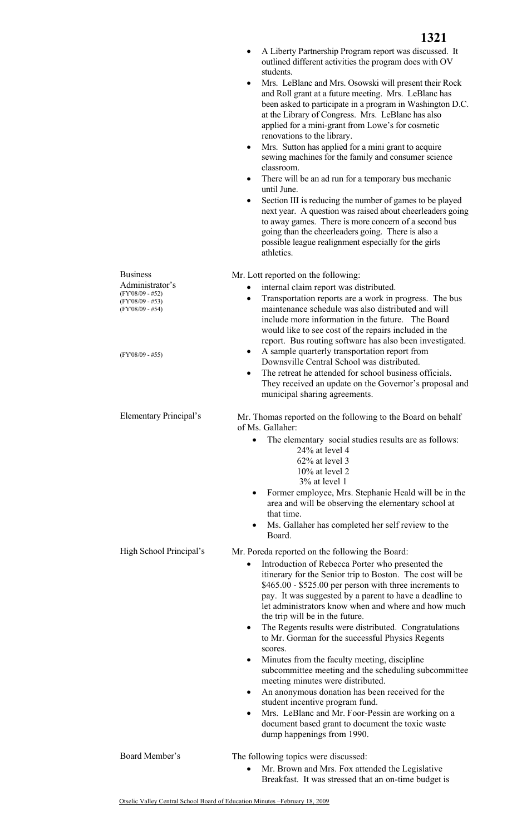|                                        | A Liberty Partnership Program report was discussed. It<br>outlined different activities the program does with OV<br>students.<br>Mrs. LeBlanc and Mrs. Osowski will present their Rock<br>٠<br>and Roll grant at a future meeting. Mrs. LeBlanc has<br>been asked to participate in a program in Washington D.C.<br>at the Library of Congress. Mrs. LeBlanc has also<br>applied for a mini-grant from Lowe's for cosmetic<br>renovations to the library.<br>Mrs. Sutton has applied for a mini grant to acquire<br>٠<br>sewing machines for the family and consumer science<br>classroom.<br>There will be an ad run for a temporary bus mechanic<br>until June.<br>Section III is reducing the number of games to be played<br>٠<br>next year. A question was raised about cheerleaders going<br>to away games. There is more concern of a second bus<br>going than the cheerleaders going. There is also a<br>possible league realignment especially for the girls<br>athletics. |
|----------------------------------------|-------------------------------------------------------------------------------------------------------------------------------------------------------------------------------------------------------------------------------------------------------------------------------------------------------------------------------------------------------------------------------------------------------------------------------------------------------------------------------------------------------------------------------------------------------------------------------------------------------------------------------------------------------------------------------------------------------------------------------------------------------------------------------------------------------------------------------------------------------------------------------------------------------------------------------------------------------------------------------------|
| <b>Business</b>                        | Mr. Lott reported on the following:                                                                                                                                                                                                                                                                                                                                                                                                                                                                                                                                                                                                                                                                                                                                                                                                                                                                                                                                                 |
| Administrator's<br>(FY'08/09 - #52)    | internal claim report was distributed.                                                                                                                                                                                                                                                                                                                                                                                                                                                                                                                                                                                                                                                                                                                                                                                                                                                                                                                                              |
| $(FY'08/09 - #53)$<br>(FY'08/09 - #54) | Transportation reports are a work in progress. The bus<br>٠<br>maintenance schedule was also distributed and will<br>include more information in the future. The Board<br>would like to see cost of the repairs included in the<br>report. Bus routing software has also been investigated.                                                                                                                                                                                                                                                                                                                                                                                                                                                                                                                                                                                                                                                                                         |
| $(FY'08/09 - #55)$                     | A sample quarterly transportation report from<br>Downsville Central School was distributed.<br>The retreat he attended for school business officials.<br>They received an update on the Governor's proposal and<br>municipal sharing agreements.                                                                                                                                                                                                                                                                                                                                                                                                                                                                                                                                                                                                                                                                                                                                    |
| Elementary Principal's                 | Mr. Thomas reported on the following to the Board on behalf<br>of Ms. Gallaher:                                                                                                                                                                                                                                                                                                                                                                                                                                                                                                                                                                                                                                                                                                                                                                                                                                                                                                     |
|                                        | The elementary social studies results are as follows:<br>24% at level 4<br>62% at level 3<br>$10\%$ at level 2<br>3% at level 1<br>Former employee, Mrs. Stephanie Heald will be in the<br>٠<br>area and will be observing the elementary school at                                                                                                                                                                                                                                                                                                                                                                                                                                                                                                                                                                                                                                                                                                                                 |
|                                        | that time.<br>Ms. Gallaher has completed her self review to the<br>$\bullet$<br>Board.                                                                                                                                                                                                                                                                                                                                                                                                                                                                                                                                                                                                                                                                                                                                                                                                                                                                                              |
| High School Principal's                | Mr. Poreda reported on the following the Board:                                                                                                                                                                                                                                                                                                                                                                                                                                                                                                                                                                                                                                                                                                                                                                                                                                                                                                                                     |
|                                        | Introduction of Rebecca Porter who presented the<br>$\bullet$<br>itinerary for the Senior trip to Boston. The cost will be<br>$$465.00 - $525.00$ per person with three increments to<br>pay. It was suggested by a parent to have a deadline to<br>let administrators know when and where and how much<br>the trip will be in the future.<br>The Regents results were distributed. Congratulations<br>٠<br>to Mr. Gorman for the successful Physics Regents<br>scores.<br>Minutes from the faculty meeting, discipline<br>subcommittee meeting and the scheduling subcommittee<br>meeting minutes were distributed.<br>An anonymous donation has been received for the<br>student incentive program fund.<br>Mrs. LeBlanc and Mr. Foor-Pessin are working on a<br>$\bullet$                                                                                                                                                                                                        |
|                                        | document based grant to document the toxic waste<br>dump happenings from 1990.                                                                                                                                                                                                                                                                                                                                                                                                                                                                                                                                                                                                                                                                                                                                                                                                                                                                                                      |
| Board Member's                         | The following topics were discussed:<br>Mr. Brown and Mrs. Fox attended the Legislative<br>Breakfast. It was stressed that an on-time budget is                                                                                                                                                                                                                                                                                                                                                                                                                                                                                                                                                                                                                                                                                                                                                                                                                                     |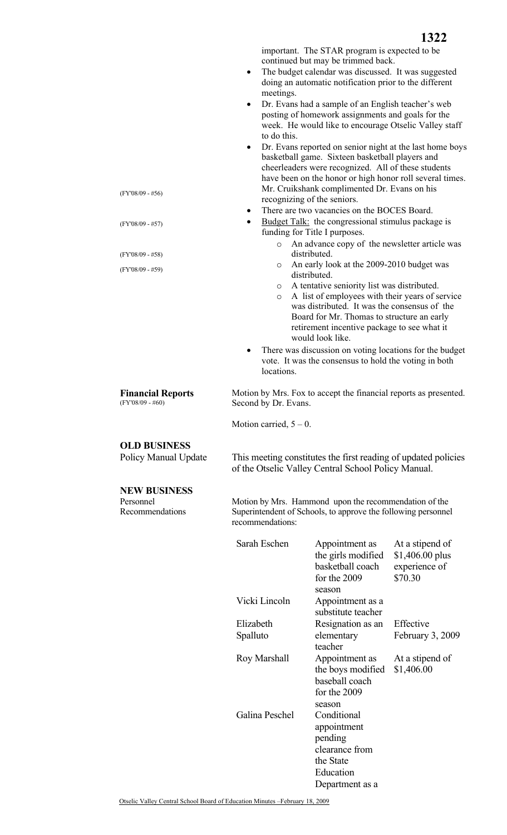**1322**

important. The STAR program is expected to be continued but may be trimmed back.

- The budget calendar was discussed. It was suggested doing an automatic notification prior to the different meetings.
- Dr. Evans had a sample of an English teacher's web posting of homework assignments and goals for the week. He would like to encourage Otselic Valley staff to do this.
- Dr. Evans reported on senior night at the last home boys basketball game. Sixteen basketball players and cheerleaders were recognized. All of these students have been on the honor or high honor roll several times. Mr. Cruikshank complimented Dr. Evans on his recognizing of the seniors.
- There are two vacancies on the BOCES Board.
- Budget Talk: the congressional stimulus package is funding for Title I purposes.
	- o An advance copy of the newsletter article was distributed.
	- o An early look at the 2009-2010 budget was distributed.
	- o A tentative seniority list was distributed.
	- o A list of employees with their years of service was distributed. It was the consensus of the Board for Mr. Thomas to structure an early retirement incentive package to see what it would look like.
- There was discussion on voting locations for the budget vote. It was the consensus to hold the voting in both locations.

 Motion by Mrs. Fox to accept the financial reports as presented. Second by Dr. Evans.

Motion carried,  $5 - 0$ .

## **OLD BUSINESS**

**Financial Reports** 

(FY'08/09 - #60)

## **NEW BUSINESS**

Personnel Recommendations

Policy Manual Update This meeting constitutes the first reading of updated policies of the Otselic Valley Central School Policy Manual.

> Motion by Mrs. Hammond upon the recommendation of the Superintendent of Schools, to approve the following personnel recommendations:

| Sarah Eschen   | Appointment as<br>the girls modified<br>basketball coach<br>for the 2009                             | At a stipend of<br>$$1,406.00$ plus<br>experience of<br>\$70.30 |
|----------------|------------------------------------------------------------------------------------------------------|-----------------------------------------------------------------|
|                | season                                                                                               |                                                                 |
| Vicki Lincoln  | Appointment as a<br>substitute teacher                                                               |                                                                 |
| Elizabeth      | Resignation as an                                                                                    | Effective                                                       |
| Spalluto       | elementary<br>teacher                                                                                | February 3, 2009                                                |
| Roy Marshall   | Appointment as<br>the boys modified<br>baseball coach<br>for the 2009<br>season                      | At a stipend of<br>\$1,406.00                                   |
| Galina Peschel | Conditional<br>appointment<br>pending<br>clearance from<br>the State<br>Education<br>Department as a |                                                                 |

Otselic Valley Central School Board of Education Minutes –February 18, 2009

(FY'08/09 - #56)

(FY'08/09 - #57)

(FY'08/09 - #58) (FY'08/09 - #59)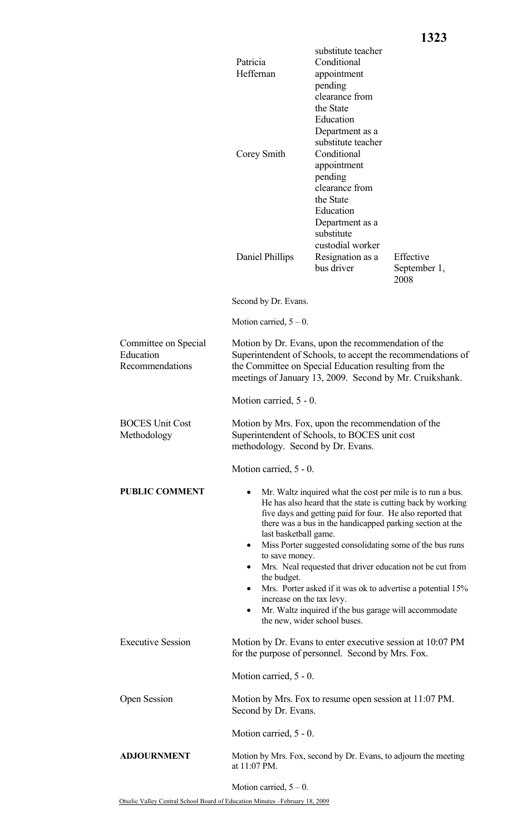|                                                      | Patricia<br>Heffernan<br>Corey Smith                                                                                                                                                                                                                                                                                                                                                                                                                                                                                                                                                                                                   | substitute teacher<br>Conditional<br>appointment<br>pending<br>clearance from<br>the State<br>Education<br>Department as a<br>substitute teacher<br>Conditional<br>appointment<br>pending<br>clearance from<br>the State<br>Education<br>Department as a<br>substitute<br>custodial worker |                                   |  |  |
|------------------------------------------------------|----------------------------------------------------------------------------------------------------------------------------------------------------------------------------------------------------------------------------------------------------------------------------------------------------------------------------------------------------------------------------------------------------------------------------------------------------------------------------------------------------------------------------------------------------------------------------------------------------------------------------------------|--------------------------------------------------------------------------------------------------------------------------------------------------------------------------------------------------------------------------------------------------------------------------------------------|-----------------------------------|--|--|
|                                                      | Daniel Phillips                                                                                                                                                                                                                                                                                                                                                                                                                                                                                                                                                                                                                        | Resignation as a<br>bus driver                                                                                                                                                                                                                                                             | Effective<br>September 1,<br>2008 |  |  |
|                                                      | Second by Dr. Evans.                                                                                                                                                                                                                                                                                                                                                                                                                                                                                                                                                                                                                   |                                                                                                                                                                                                                                                                                            |                                   |  |  |
|                                                      | Motion carried, $5 - 0$ .                                                                                                                                                                                                                                                                                                                                                                                                                                                                                                                                                                                                              |                                                                                                                                                                                                                                                                                            |                                   |  |  |
| Committee on Special<br>Education<br>Recommendations | Motion by Dr. Evans, upon the recommendation of the<br>Superintendent of Schools, to accept the recommendations of<br>the Committee on Special Education resulting from the<br>meetings of January 13, 2009. Second by Mr. Cruikshank.                                                                                                                                                                                                                                                                                                                                                                                                 |                                                                                                                                                                                                                                                                                            |                                   |  |  |
|                                                      | Motion carried, 5 - 0.                                                                                                                                                                                                                                                                                                                                                                                                                                                                                                                                                                                                                 |                                                                                                                                                                                                                                                                                            |                                   |  |  |
| <b>BOCES Unit Cost</b><br>Methodology                | Motion by Mrs. Fox, upon the recommendation of the<br>Superintendent of Schools, to BOCES unit cost<br>methodology. Second by Dr. Evans.                                                                                                                                                                                                                                                                                                                                                                                                                                                                                               |                                                                                                                                                                                                                                                                                            |                                   |  |  |
|                                                      | Motion carried, 5 - 0.                                                                                                                                                                                                                                                                                                                                                                                                                                                                                                                                                                                                                 |                                                                                                                                                                                                                                                                                            |                                   |  |  |
| <b>PUBLIC COMMENT</b>                                | Mr. Waltz inquired what the cost per mile is to run a bus.<br>He has also heard that the state is cutting back by working<br>five days and getting paid for four. He also reported that<br>there was a bus in the handicapped parking section at the<br>last basketball game.<br>Miss Porter suggested consolidating some of the bus runs<br>٠<br>to save money.<br>Mrs. Neal requested that driver education not be cut from<br>the budget.<br>Mrs. Porter asked if it was ok to advertise a potential 15%<br>٠<br>increase on the tax levy.<br>Mr. Waltz inquired if the bus garage will accommodate<br>the new, wider school buses. |                                                                                                                                                                                                                                                                                            |                                   |  |  |
| <b>Executive Session</b>                             | Motion by Dr. Evans to enter executive session at 10:07 PM<br>for the purpose of personnel. Second by Mrs. Fox.                                                                                                                                                                                                                                                                                                                                                                                                                                                                                                                        |                                                                                                                                                                                                                                                                                            |                                   |  |  |
|                                                      | Motion carried, 5 - 0.                                                                                                                                                                                                                                                                                                                                                                                                                                                                                                                                                                                                                 |                                                                                                                                                                                                                                                                                            |                                   |  |  |
| Open Session                                         | Motion by Mrs. Fox to resume open session at 11:07 PM.<br>Second by Dr. Evans.                                                                                                                                                                                                                                                                                                                                                                                                                                                                                                                                                         |                                                                                                                                                                                                                                                                                            |                                   |  |  |
|                                                      | Motion carried, 5 - 0.                                                                                                                                                                                                                                                                                                                                                                                                                                                                                                                                                                                                                 |                                                                                                                                                                                                                                                                                            |                                   |  |  |
| <b>ADJOURNMENT</b>                                   | Motion by Mrs. Fox, second by Dr. Evans, to adjourn the meeting<br>at 11:07 PM.                                                                                                                                                                                                                                                                                                                                                                                                                                                                                                                                                        |                                                                                                                                                                                                                                                                                            |                                   |  |  |
|                                                      | Motion carried, $5 - 0$ .                                                                                                                                                                                                                                                                                                                                                                                                                                                                                                                                                                                                              |                                                                                                                                                                                                                                                                                            |                                   |  |  |